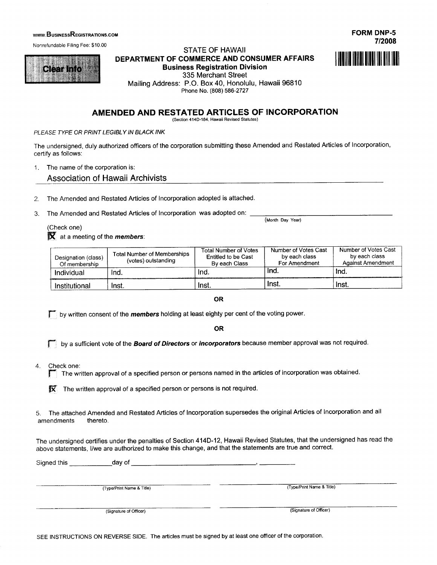#### **WWW.BUSINESSREGISTRATIONS.COM**

Nonrefundable Filing Fee: \$10.00



#### **STATE OF HAWAII** DEPARTMENT OF COMMERCE AND CONSUMER AFFAIRS **Business Registration Division** 335 Merchant Street Mailing Address: P.O. Box 40, Honolulu, Hawaii 96810



**FORM DNP-5** 

### AMENDED AND RESTATED ARTICLES OF INCORPORATION

(Section 414D-184, Hawaii Revised Statutes)

PLEASE TYPE OR PRINT LEGIBLY IN BLACK INK

The undersigned, duly authorized officers of the corporation submitting these Amended and Restated Articles of Incorporation, certify as follows:

1. The name of the corporation is:

**Association of Hawaii Archivists** 

The Amended and Restated Articles of Incorporation adopted is attached.  $2.$ 

The Amended and Restated Articles of Incorporation was adopted on:  $\mathbf{3}$ .

(Check one)  $\mathbf{\overline{X}}$  at a meeting of the *members*:

| Designation (class)<br>Of membership | <b>Total Number of Memberships</b><br>(votes) outstanding | <b>Total Number of Votes</b><br>Entitled to be Cast<br>By each Class | Number of Votes Cast<br>by each class<br>For Amendment | Number of Votes Cast<br>by each class<br><b>Against Amendment</b> |
|--------------------------------------|-----------------------------------------------------------|----------------------------------------------------------------------|--------------------------------------------------------|-------------------------------------------------------------------|
| Individual                           | Ind.                                                      | -Ind.                                                                | lnd.                                                   | ˈInd.                                                             |
| Institutional                        | Inst.                                                     | Inst.                                                                | Inst.                                                  | Inst.                                                             |

**OR** 

by written consent of the *members* holding at least eighty per cent of the voting power.

**OR** 

by a sufficient vote of the **Board of Directors** or *incorporators* because member approval was not required.

 $4.$ Check one:

The written approval of a specified person or persons named in the articles of incorporation was obtained. Г

 $\overline{\mathbf{X}}$ . The written approval of a specified person or persons is not required.

The attached Amended and Restated Articles of Incorporation supersedes the original Articles of Incorporation and all  $5<sub>1</sub>$ amendments thereto.

The undersigned certifies under the penalties of Section 414D-12, Hawaii Revised Statutes, that the undersigned has read the above statements, I/we are authorized to make this change, and that the statements are true and correct.

Signed this day of (Type/Print Name & Title) (Type/Print Name & Title)

(Signature of Officer)

(Signature of Officer)

SEE INSTRUCTIONS ON REVERSE SIDE. The articles must be signed by at least one officer of the corporation.

(Month Day Year)

# Phone No. (808) 586-2727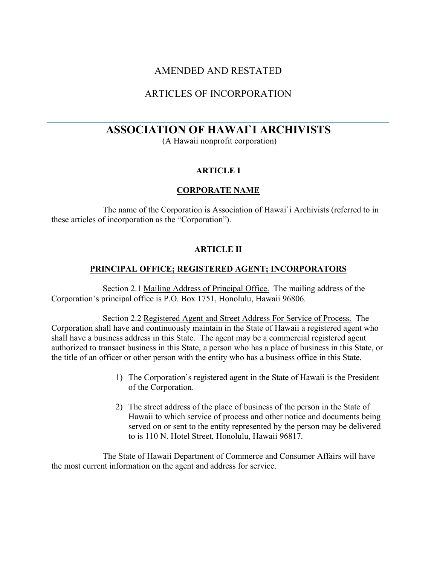## AMENDED AND RESTATED

# ARTICLES OF INCORPORATION

# **ASSOCIATION OF HAWAI`I ARCHIVISTS**

(A Hawaii nonprofit corporation)

## **ARTICLE I**

## **CORPORATE NAME**

The name of the Corporation is Association of Hawai`i Archivists (referred to in these articles of incorporation as the "Corporation").

## **ARTICLE II**

## **PRINCIPAL OFFICE; REGISTERED AGENT; INCORPORATORS**

Section 2.1 Mailing Address of Principal Office. The mailing address of the Corporation's principal office is P.O. Box 1751, Honolulu, Hawaii 96806.

Section 2.2 Registered Agent and Street Address For Service of Process. The Corporation shall have and continuously maintain in the State of Hawaii a registered agent who shall have a business address in this State. The agent may be a commercial registered agent authorized to transact business in this State, a person who has a place of business in this State, or the title of an officer or other person with the entity who has a business office in this State.

- 1) The Corporation's registered agent in the State of Hawaii is the President of the Corporation.
- 2) The street address of the place of business of the person in the State of Hawaii to which service of process and other notice and documents being served on or sent to the entity represented by the person may be delivered to is 110 N. Hotel Street, Honolulu, Hawaii 96817.

The State of Hawaii Department of Commerce and Consumer Affairs will have the most current information on the agent and address for service.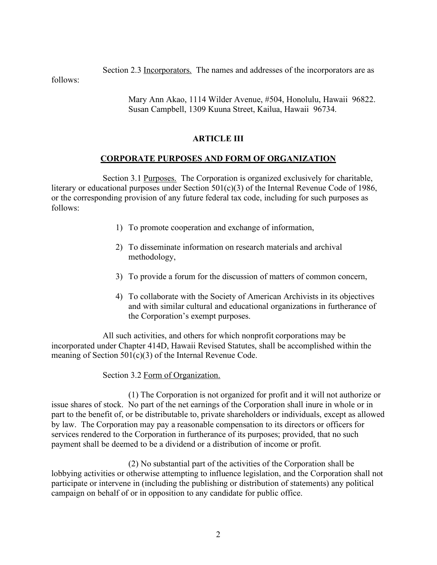Section 2.3 Incorporators. The names and addresses of the incorporators are as

follows:

Mary Ann Akao, 1114 Wilder Avenue, #504, Honolulu, Hawaii 96822. Susan Campbell, 1309 Kuuna Street, Kailua, Hawaii 96734.

## **ARTICLE III**

## **CORPORATE PURPOSES AND FORM OF ORGANIZATION**

Section 3.1 Purposes. The Corporation is organized exclusively for charitable, literary or educational purposes under Section 501(c)(3) of the Internal Revenue Code of 1986, or the corresponding provision of any future federal tax code, including for such purposes as follows:

- 1) To promote cooperation and exchange of information,
- 2) To disseminate information on research materials and archival methodology,
- 3) To provide a forum for the discussion of matters of common concern,
- 4) To collaborate with the Society of American Archivists in its objectives and with similar cultural and educational organizations in furtherance of the Corporation's exempt purposes.

 All such activities, and others for which nonprofit corporations may be incorporated under Chapter 414D, Hawaii Revised Statutes, shall be accomplished within the meaning of Section 501(c)(3) of the Internal Revenue Code.

## Section 3.2 Form of Organization.

 (1) The Corporation is not organized for profit and it will not authorize or issue shares of stock. No part of the net earnings of the Corporation shall inure in whole or in part to the benefit of, or be distributable to, private shareholders or individuals, except as allowed by law. The Corporation may pay a reasonable compensation to its directors or officers for services rendered to the Corporation in furtherance of its purposes; provided, that no such payment shall be deemed to be a dividend or a distribution of income or profit.

 (2) No substantial part of the activities of the Corporation shall be lobbying activities or otherwise attempting to influence legislation, and the Corporation shall not participate or intervene in (including the publishing or distribution of statements) any political campaign on behalf of or in opposition to any candidate for public office.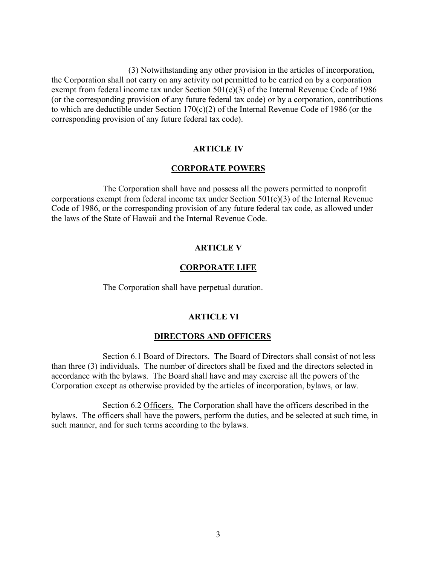(3) Notwithstanding any other provision in the articles of incorporation, the Corporation shall not carry on any activity not permitted to be carried on by a corporation exempt from federal income tax under Section 501(c)(3) of the Internal Revenue Code of 1986 (or the corresponding provision of any future federal tax code) or by a corporation, contributions to which are deductible under Section  $170(c)(2)$  of the Internal Revenue Code of 1986 (or the corresponding provision of any future federal tax code).

#### **ARTICLE IV**

#### **CORPORATE POWERS**

 The Corporation shall have and possess all the powers permitted to nonprofit corporations exempt from federal income tax under Section  $501(c)(3)$  of the Internal Revenue Code of 1986, or the corresponding provision of any future federal tax code, as allowed under the laws of the State of Hawaii and the Internal Revenue Code.

#### **ARTICLE V**

#### **CORPORATE LIFE**

The Corporation shall have perpetual duration.

#### **ARTICLE VI**

#### **DIRECTORS AND OFFICERS**

Section 6.1 Board of Directors. The Board of Directors shall consist of not less than three (3) individuals. The number of directors shall be fixed and the directors selected in accordance with the bylaws. The Board shall have and may exercise all the powers of the Corporation except as otherwise provided by the articles of incorporation, bylaws, or law.

Section 6.2 Officers. The Corporation shall have the officers described in the bylaws. The officers shall have the powers, perform the duties, and be selected at such time, in such manner, and for such terms according to the bylaws.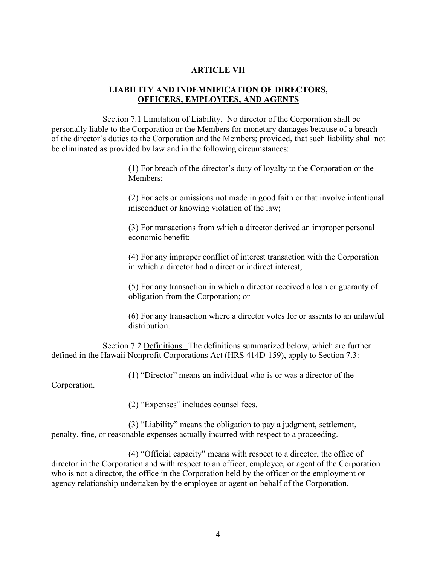#### **ARTICLE VII**

#### **LIABILITY AND INDEMNIFICATION OF DIRECTORS, OFFICERS, EMPLOYEES, AND AGENTS**

 Section 7.1 Limitation of Liability. No director of the Corporation shall be personally liable to the Corporation or the Members for monetary damages because of a breach of the director's duties to the Corporation and the Members; provided, that such liability shall not be eliminated as provided by law and in the following circumstances:

> (1) For breach of the director's duty of loyalty to the Corporation or the Members;

(2) For acts or omissions not made in good faith or that involve intentional misconduct or knowing violation of the law;

(3) For transactions from which a director derived an improper personal economic benefit;

(4) For any improper conflict of interest transaction with the Corporation in which a director had a direct or indirect interest;

(5) For any transaction in which a director received a loan or guaranty of obligation from the Corporation; or

(6) For any transaction where a director votes for or assents to an unlawful distribution.

 Section 7.2 Definitions. The definitions summarized below, which are further defined in the Hawaii Nonprofit Corporations Act (HRS 414D-159), apply to Section 7.3:

(1) "Director" means an individual who is or was a director of the

Corporation.

(2) "Expenses" includes counsel fees.

 (3) "Liability" means the obligation to pay a judgment, settlement, penalty, fine, or reasonable expenses actually incurred with respect to a proceeding.

 (4) "Official capacity" means with respect to a director, the office of director in the Corporation and with respect to an officer, employee, or agent of the Corporation who is not a director, the office in the Corporation held by the officer or the employment or agency relationship undertaken by the employee or agent on behalf of the Corporation.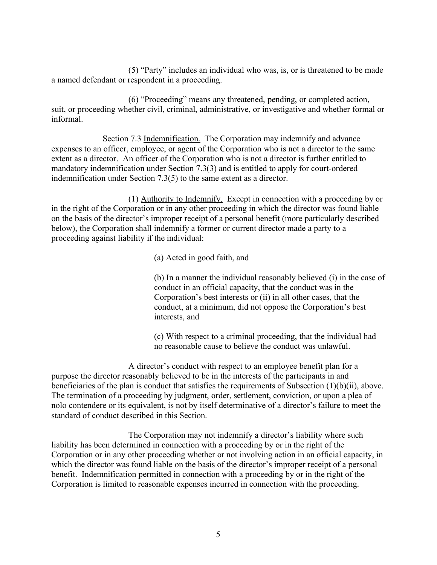(5) "Party" includes an individual who was, is, or is threatened to be made a named defendant or respondent in a proceeding.

(6) "Proceeding" means any threatened, pending, or completed action, suit, or proceeding whether civil, criminal, administrative, or investigative and whether formal or informal.

Section 7.3 Indemnification. The Corporation may indemnify and advance expenses to an officer, employee, or agent of the Corporation who is not a director to the same extent as a director. An officer of the Corporation who is not a director is further entitled to mandatory indemnification under Section 7.3(3) and is entitled to apply for court-ordered indemnification under Section 7.3(5) to the same extent as a director.

(1) Authority to Indemnify. Except in connection with a proceeding by or in the right of the Corporation or in any other proceeding in which the director was found liable on the basis of the director's improper receipt of a personal benefit (more particularly described below), the Corporation shall indemnify a former or current director made a party to a proceeding against liability if the individual:

(a) Acted in good faith, and

(b) In a manner the individual reasonably believed (i) in the case of conduct in an official capacity, that the conduct was in the Corporation's best interests or (ii) in all other cases, that the conduct, at a minimum, did not oppose the Corporation's best interests, and

(c) With respect to a criminal proceeding, that the individual had no reasonable cause to believe the conduct was unlawful.

 A director's conduct with respect to an employee benefit plan for a purpose the director reasonably believed to be in the interests of the participants in and beneficiaries of the plan is conduct that satisfies the requirements of Subsection (1)(b)(ii), above. The termination of a proceeding by judgment, order, settlement, conviction, or upon a plea of nolo contendere or its equivalent, is not by itself determinative of a director's failure to meet the standard of conduct described in this Section.

 The Corporation may not indemnify a director's liability where such liability has been determined in connection with a proceeding by or in the right of the Corporation or in any other proceeding whether or not involving action in an official capacity, in which the director was found liable on the basis of the director's improper receipt of a personal benefit. Indemnification permitted in connection with a proceeding by or in the right of the Corporation is limited to reasonable expenses incurred in connection with the proceeding.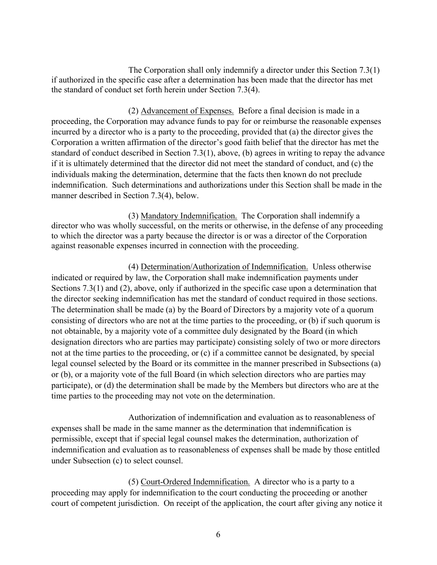The Corporation shall only indemnify a director under this Section 7.3(1) if authorized in the specific case after a determination has been made that the director has met the standard of conduct set forth herein under Section 7.3(4).

(2) Advancement of Expenses. Before a final decision is made in a proceeding, the Corporation may advance funds to pay for or reimburse the reasonable expenses incurred by a director who is a party to the proceeding, provided that (a) the director gives the Corporation a written affirmation of the director's good faith belief that the director has met the standard of conduct described in Section 7.3(1), above, (b) agrees in writing to repay the advance if it is ultimately determined that the director did not meet the standard of conduct, and (c) the individuals making the determination, determine that the facts then known do not preclude indemnification. Such determinations and authorizations under this Section shall be made in the manner described in Section 7.3(4), below.

(3) Mandatory Indemnification. The Corporation shall indemnify a director who was wholly successful, on the merits or otherwise, in the defense of any proceeding to which the director was a party because the director is or was a director of the Corporation against reasonable expenses incurred in connection with the proceeding.

(4) Determination/Authorization of Indemnification. Unless otherwise indicated or required by law, the Corporation shall make indemnification payments under Sections 7.3(1) and (2), above, only if authorized in the specific case upon a determination that the director seeking indemnification has met the standard of conduct required in those sections. The determination shall be made (a) by the Board of Directors by a majority vote of a quorum consisting of directors who are not at the time parties to the proceeding, or (b) if such quorum is not obtainable, by a majority vote of a committee duly designated by the Board (in which designation directors who are parties may participate) consisting solely of two or more directors not at the time parties to the proceeding, or (c) if a committee cannot be designated, by special legal counsel selected by the Board or its committee in the manner prescribed in Subsections (a) or (b), or a majority vote of the full Board (in which selection directors who are parties may participate), or (d) the determination shall be made by the Members but directors who are at the time parties to the proceeding may not vote on the determination.

 Authorization of indemnification and evaluation as to reasonableness of expenses shall be made in the same manner as the determination that indemnification is permissible, except that if special legal counsel makes the determination, authorization of indemnification and evaluation as to reasonableness of expenses shall be made by those entitled under Subsection (c) to select counsel.

 (5) Court-Ordered Indemnification. A director who is a party to a proceeding may apply for indemnification to the court conducting the proceeding or another court of competent jurisdiction. On receipt of the application, the court after giving any notice it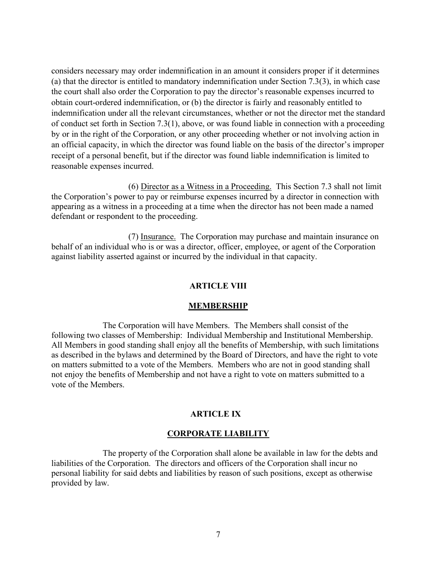considers necessary may order indemnification in an amount it considers proper if it determines (a) that the director is entitled to mandatory indemnification under Section 7.3(3), in which case the court shall also order the Corporation to pay the director's reasonable expenses incurred to obtain court-ordered indemnification, or (b) the director is fairly and reasonably entitled to indemnification under all the relevant circumstances, whether or not the director met the standard of conduct set forth in Section 7.3(1), above, or was found liable in connection with a proceeding by or in the right of the Corporation, or any other proceeding whether or not involving action in an official capacity, in which the director was found liable on the basis of the director's improper receipt of a personal benefit, but if the director was found liable indemnification is limited to reasonable expenses incurred.

(6) Director as a Witness in a Proceeding. This Section 7.3 shall not limit the Corporation's power to pay or reimburse expenses incurred by a director in connection with appearing as a witness in a proceeding at a time when the director has not been made a named defendant or respondent to the proceeding.

 (7) Insurance. The Corporation may purchase and maintain insurance on behalf of an individual who is or was a director, officer, employee, or agent of the Corporation against liability asserted against or incurred by the individual in that capacity.

#### **ARTICLE VIII**

#### **MEMBERSHIP**

 The Corporation will have Members. The Members shall consist of the following two classes of Membership: Individual Membership and Institutional Membership. All Members in good standing shall enjoy all the benefits of Membership, with such limitations as described in the bylaws and determined by the Board of Directors, and have the right to vote on matters submitted to a vote of the Members. Members who are not in good standing shall not enjoy the benefits of Membership and not have a right to vote on matters submitted to a vote of the Members.

#### **ARTICLE IX**

#### **CORPORATE LIABILITY**

The property of the Corporation shall alone be available in law for the debts and liabilities of the Corporation. The directors and officers of the Corporation shall incur no personal liability for said debts and liabilities by reason of such positions, except as otherwise provided by law.